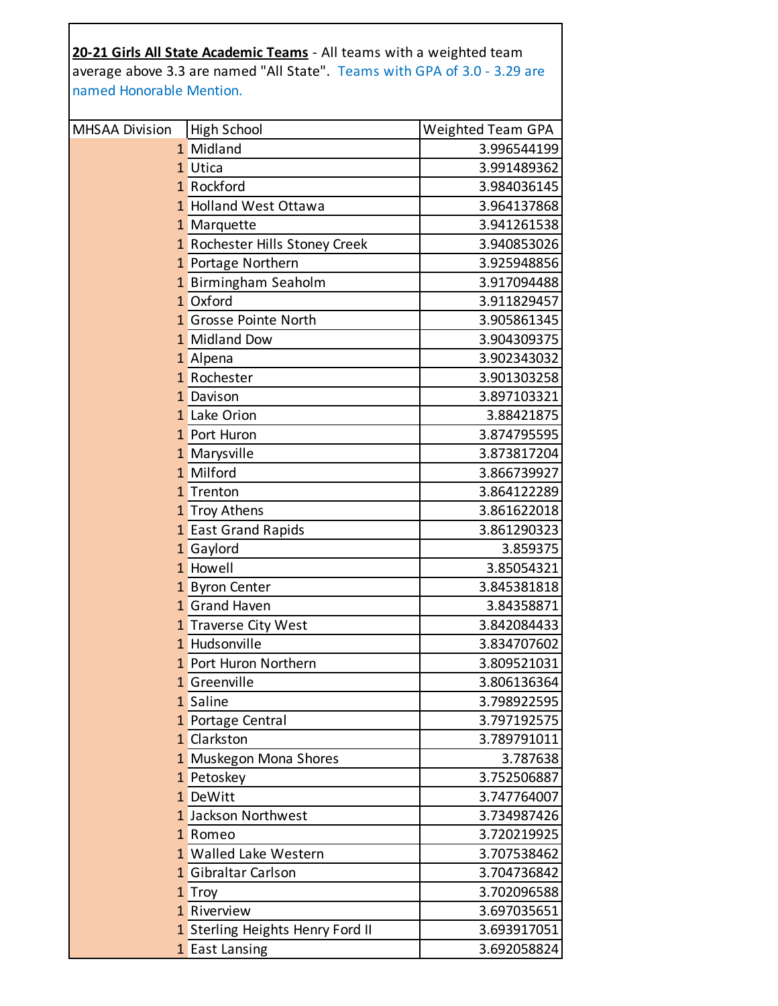|                          | 20-21 Girls All State Academic Teams - All teams with a weighted team     |                          |
|--------------------------|---------------------------------------------------------------------------|--------------------------|
|                          | average above 3.3 are named "All State". Teams with GPA of 3.0 - 3.29 are |                          |
| named Honorable Mention. |                                                                           |                          |
|                          |                                                                           |                          |
| <b>MHSAA Division</b>    | High School                                                               | <b>Weighted Team GPA</b> |
|                          | 1 Midland                                                                 | 3.996544199              |
|                          | 1 Utica                                                                   | 3.991489362              |
|                          | 1 Rockford                                                                | 3.984036145              |
|                          | 1 Holland West Ottawa                                                     | 3.964137868              |
|                          | 1 Marquette                                                               | 3.941261538              |
|                          | 1 Rochester Hills Stoney Creek                                            | 3.940853026              |
|                          | 1 Portage Northern                                                        | 3.925948856              |
|                          | 1 Birmingham Seaholm                                                      | 3.917094488              |
|                          | 1 Oxford                                                                  | 3.911829457              |
|                          | 1 Grosse Pointe North                                                     | 3.905861345              |
|                          | 1 Midland Dow                                                             | 3.904309375              |
|                          | 1 Alpena                                                                  | 3.902343032              |
|                          | 1 Rochester                                                               | 3.901303258              |
|                          | 1 Davison                                                                 | 3.897103321              |
|                          | 1 Lake Orion                                                              | 3.88421875               |
|                          | 1 Port Huron                                                              | 3.874795595              |
|                          | 1 Marysville                                                              | 3.873817204              |
|                          | 1 Milford                                                                 | 3.866739927              |
|                          | 1 Trenton                                                                 | 3.864122289              |
|                          | 1 Troy Athens                                                             | 3.861622018              |
|                          | 1 East Grand Rapids                                                       | 3.861290323              |
|                          | 1 Gaylord                                                                 | 3.859375                 |
|                          | 1 Howell                                                                  | 3.85054321               |
|                          | 1 Byron Center                                                            | 3.845381818              |
|                          | 1 Grand Haven                                                             | 3.84358871               |
|                          | 1 Traverse City West                                                      | 3.842084433              |
|                          | 1 Hudsonville                                                             | 3.834707602              |
|                          | 1 Port Huron Northern                                                     | 3.809521031              |
|                          | 1 Greenville                                                              | 3.806136364              |
|                          | 1 Saline                                                                  | 3.798922595              |
|                          | 1 Portage Central                                                         | 3.797192575              |
|                          | 1 Clarkston                                                               | 3.789791011              |
|                          | 1 Muskegon Mona Shores                                                    | 3.787638                 |
|                          | 1 Petoskey                                                                | 3.752506887              |
|                          | 1 DeWitt                                                                  | 3.747764007              |
|                          | 1 Jackson Northwest                                                       | 3.734987426              |
|                          | 1 Romeo                                                                   | 3.720219925              |
|                          | 1 Walled Lake Western                                                     | 3.707538462              |
|                          | 1 Gibraltar Carlson                                                       | 3.704736842              |
|                          | 1 Troy                                                                    | 3.702096588              |
|                          | 1 Riverview                                                               | 3.697035651              |
|                          | 1 Sterling Heights Henry Ford II                                          | 3.693917051              |
|                          | 1 East Lansing                                                            | 3.692058824              |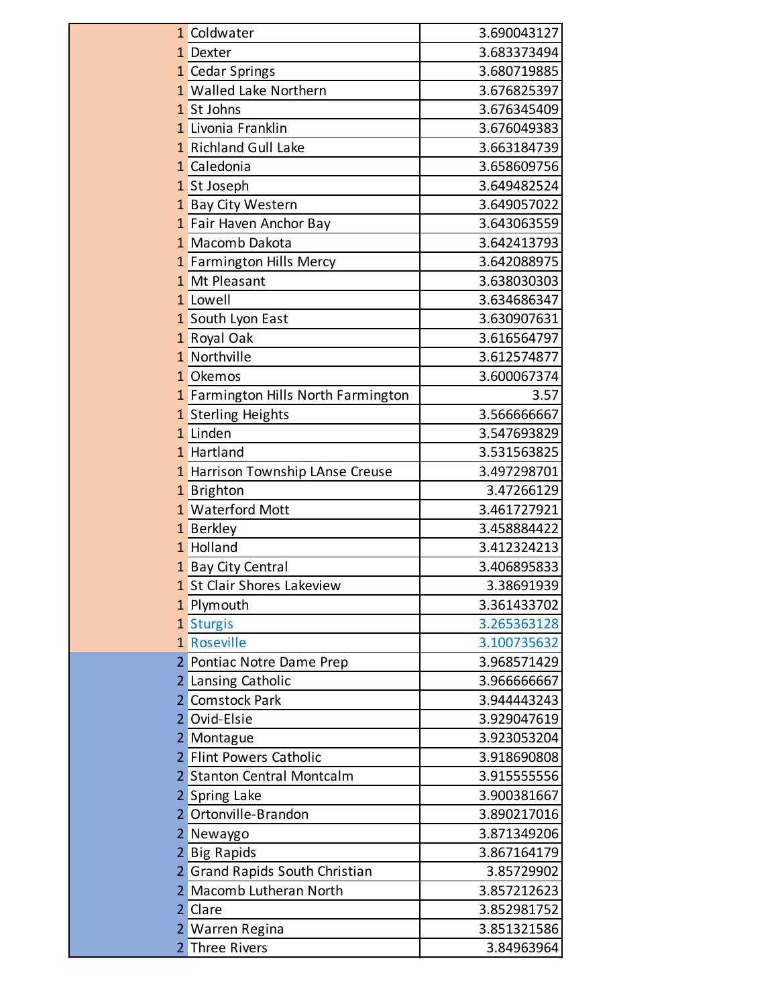| 1 Coldwater                                           | 3.690043127 |
|-------------------------------------------------------|-------------|
| 1 Dexter                                              | 3.683373494 |
| 1 Cedar Springs                                       | 3.680719885 |
| 1 Walled Lake Northern                                | 3.676825397 |
| 1 St Johns                                            | 3.676345409 |
| 1 Livonia Franklin                                    | 3.676049383 |
| 1 Richland Gull Lake                                  | 3.663184739 |
| 1 Caledonia                                           | 3.658609756 |
| 1 St Joseph                                           | 3.649482524 |
| 1 Bay City Western                                    | 3.649057022 |
| 1 Fair Haven Anchor Bay                               | 3.643063559 |
| 1 Macomb Dakota                                       | 3.642413793 |
| 1 Farmington Hills Mercy                              | 3.642088975 |
| 1 Mt Pleasant                                         | 3.638030303 |
| 1 Lowell                                              | 3.634686347 |
| 1 South Lyon East                                     | 3.630907631 |
| 1 Royal Oak                                           | 3.616564797 |
| 1 Northville                                          | 3.612574877 |
| 1 Okemos                                              | 3.600067374 |
| 1 Farmington Hills North Farmington                   | 3.57        |
| 1 Sterling Heights                                    | 3.566666667 |
| 1 Linden                                              | 3.547693829 |
| 1 Hartland                                            | 3.531563825 |
| 1 Harrison Township LAnse Creuse                      | 3.497298701 |
| 1 Brighton                                            | 3.47266129  |
| 1 Waterford Mott                                      | 3.461727921 |
| 1 Berkley                                             | 3.458884422 |
| 1 Holland                                             | 3.412324213 |
| 1 Bay City Central                                    | 3.406895833 |
| 1 St Clair Shores Lakeview                            | 3.38691939  |
| 1 Plymouth                                            | 3.361433702 |
| 1 Sturgis                                             | 3.265363128 |
| 1 Roseville                                           | 3.100735632 |
| 2 Pontiac Notre Dame Prep                             | 3.968571429 |
| Lansing Catholic<br>2                                 | 3.966666667 |
| 2 Comstock Park                                       | 3.944443243 |
| Ovid-Elsie<br>2                                       | 3.929047619 |
| Montague<br>2                                         | 3.923053204 |
| <b>Flint Powers Catholic</b><br>2                     | 3.918690808 |
| <b>Stanton Central Montcalm</b><br>2                  | 3.915555556 |
| Spring Lake<br>2                                      | 3.900381667 |
| Ortonville-Brandon<br>2                               | 3.890217016 |
| $\overline{2}$<br>Newaygo                             | 3.871349206 |
| 2 Big Rapids                                          | 3.867164179 |
| <b>Grand Rapids South Christian</b><br>$\overline{2}$ | 3.85729902  |
| Macomb Lutheran North<br>2                            | 3.857212623 |
| 2<br>Clare                                            | 3.852981752 |
| 2 Warren Regina                                       | 3.851321586 |
| <b>Three Rivers</b><br>2                              | 3.84963964  |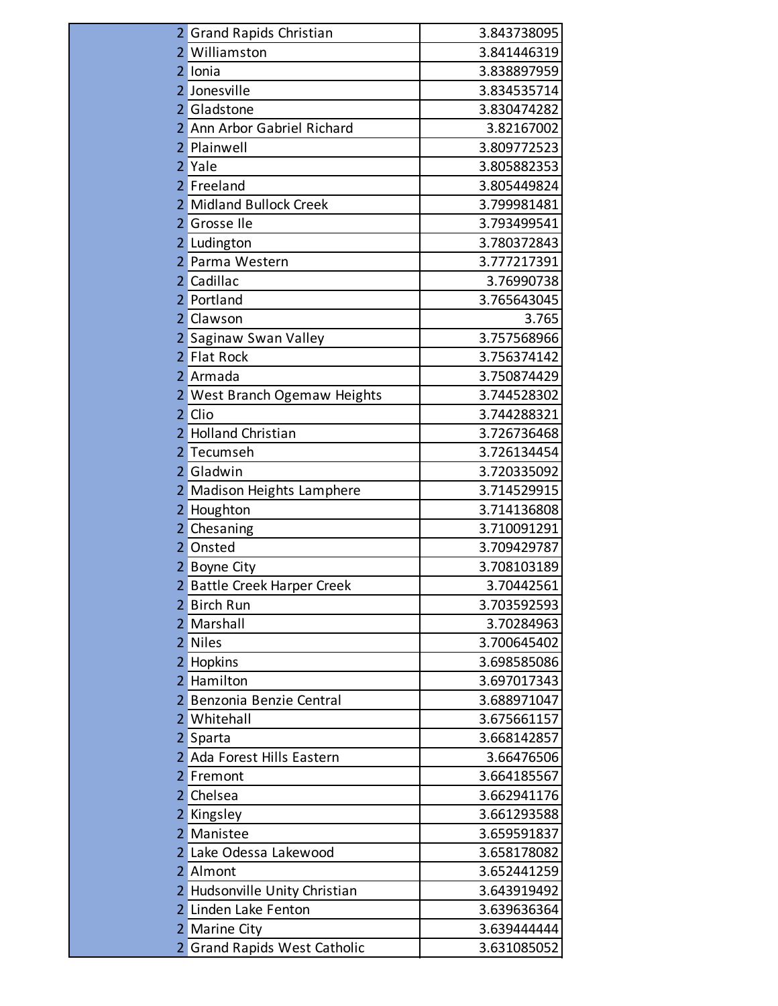|                | <b>Grand Rapids Christian</b>     | 3.843738095 |
|----------------|-----------------------------------|-------------|
| 2              | Williamston                       | 3.841446319 |
| 2              | Ionia                             | 3.838897959 |
| 2              | Jonesville                        | 3.834535714 |
|                | Gladstone                         | 3.830474282 |
| 2              | Ann Arbor Gabriel Richard         | 3.82167002  |
| 2              | Plainwell                         | 3.809772523 |
| $\overline{2}$ | Yale                              | 3.805882353 |
| 2              | Freeland                          | 3.805449824 |
| 2              | <b>Midland Bullock Creek</b>      | 3.799981481 |
| 2              | Grosse Ile                        | 3.793499541 |
| 2              | Ludington                         | 3.780372843 |
|                | Parma Western                     | 3.777217391 |
| 2              | Cadillac                          | 3.76990738  |
| 2              | Portland                          | 3.765643045 |
| 2              | Clawson                           | 3.765       |
|                | Saginaw Swan Valley               | 3.757568966 |
| $\overline{2}$ | <b>Flat Rock</b>                  | 3.756374142 |
| 2              | Armada                            | 3.750874429 |
|                | West Branch Ogemaw Heights        | 3.744528302 |
| 2              | Clio                              | 3.744288321 |
| 2              | <b>Holland Christian</b>          | 3.726736468 |
| 2              | Tecumseh                          | 3.726134454 |
| 2              | Gladwin                           | 3.720335092 |
|                | Madison Heights Lamphere          | 3.714529915 |
| 2              | Houghton                          | 3.714136808 |
|                | Chesaning                         | 3.710091291 |
| 2              | Onsted                            | 3.709429787 |
|                | Boyne City                        | 3.708103189 |
| $\overline{2}$ | <b>Battle Creek Harper Creek</b>  | 3.70442561  |
| 2              | <b>Birch Run</b>                  | 3.703592593 |
| 2              | Marshall                          | 3.70284963  |
| 2              | <b>Niles</b>                      | 3.700645402 |
| 2              | Hopkins                           | 3.698585086 |
| 2              | Hamilton                          | 3.697017343 |
| 2              | Benzonia Benzie Central           | 3.688971047 |
| 2              | Whitehall                         | 3.675661157 |
| 2              | Sparta                            | 3.668142857 |
|                | Ada Forest Hills Eastern          | 3.66476506  |
| 2              | Fremont                           | 3.664185567 |
| 2              | Chelsea                           | 3.662941176 |
| 2              | Kingsley                          | 3.661293588 |
| 2              | Manistee                          | 3.659591837 |
| 2              | Lake Odessa Lakewood              | 3.658178082 |
| 2              | Almont                            | 3.652441259 |
| 2              | Hudsonville Unity Christian       | 3.643919492 |
|                | Linden Lake Fenton                | 3.639636364 |
| 2              | <b>Marine City</b>                | 3.639444444 |
|                | <b>Grand Rapids West Catholic</b> | 3.631085052 |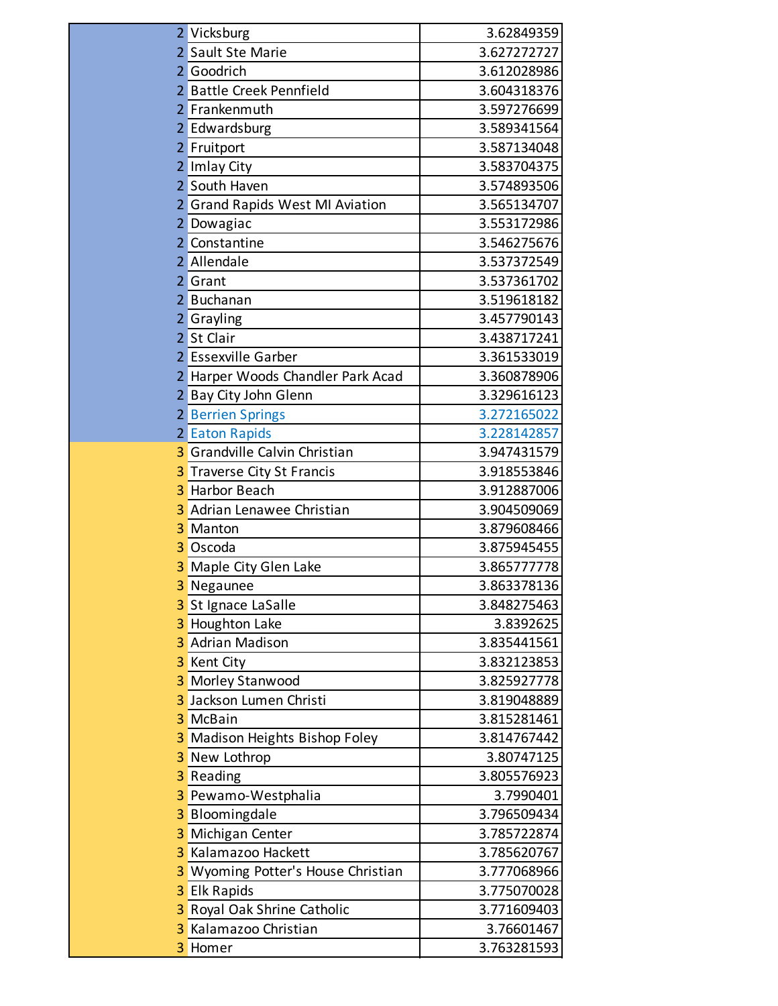| 2 | Vicksburg                               | 3.62849359  |
|---|-----------------------------------------|-------------|
|   | 2 Sault Ste Marie                       | 3.627272727 |
|   | 2 Goodrich                              | 3.612028986 |
|   | 2 Battle Creek Pennfield                | 3.604318376 |
|   | 2 Frankenmuth                           | 3.597276699 |
|   | 2 Edwardsburg                           | 3.589341564 |
|   | 2 Fruitport                             | 3.587134048 |
|   | 2 Imlay City                            | 3.583704375 |
|   | 2 South Haven                           | 3.574893506 |
|   | 2 Grand Rapids West MI Aviation         | 3.565134707 |
|   | 2 Dowagiac                              | 3.553172986 |
|   | 2 Constantine                           | 3.546275676 |
| 2 | Allendale                               | 3.537372549 |
|   | 2 Grant                                 | 3.537361702 |
| 2 | Buchanan                                | 3.519618182 |
|   | 2 Grayling                              | 3.457790143 |
| 2 | St Clair                                | 3.438717241 |
|   | 2 Essexville Garber                     | 3.361533019 |
|   | 2 Harper Woods Chandler Park Acad       | 3.360878906 |
|   | 2 Bay City John Glenn                   | 3.329616123 |
|   | 2 Berrien Springs                       | 3.272165022 |
|   | 2 Eaton Rapids                          | 3.228142857 |
| 3 | Grandville Calvin Christian             | 3.947431579 |
| 3 | Traverse City St Francis                | 3.918553846 |
| 3 | <b>Harbor Beach</b>                     | 3.912887006 |
| 3 | Adrian Lenawee Christian                | 3.904509069 |
| 3 | Manton                                  | 3.879608466 |
| 3 | Oscoda                                  | 3.875945455 |
| 3 | Maple City Glen Lake                    | 3.865777778 |
| 3 | Negaunee                                | 3.863378136 |
| 3 | St Ignace LaSalle                       | 3.848275463 |
| 3 | <b>Houghton Lake</b>                    | 3.8392625   |
| 3 | <b>Adrian Madison</b>                   | 3.835441561 |
| 3 | <b>Kent City</b>                        | 3.832123853 |
| 3 | <b>Morley Stanwood</b>                  | 3.825927778 |
| 3 | Jackson Lumen Christi                   | 3.819048889 |
| 3 | McBain                                  | 3.815281461 |
| 3 | Madison Heights Bishop Foley            | 3.814767442 |
| 3 | New Lothrop                             | 3.80747125  |
| 3 | Reading                                 | 3.805576923 |
| 3 | Pewamo-Westphalia                       | 3.7990401   |
| 3 | Bloomingdale                            | 3.796509434 |
| 3 | Michigan Center                         | 3.785722874 |
| 3 | Kalamazoo Hackett                       | 3.785620767 |
| 3 | <b>Wyoming Potter's House Christian</b> | 3.777068966 |
| 3 | <b>Elk Rapids</b>                       | 3.775070028 |
| 3 | Royal Oak Shrine Catholic               | 3.771609403 |
| 3 | Kalamazoo Christian                     | 3.76601467  |
| 3 | Homer                                   | 3.763281593 |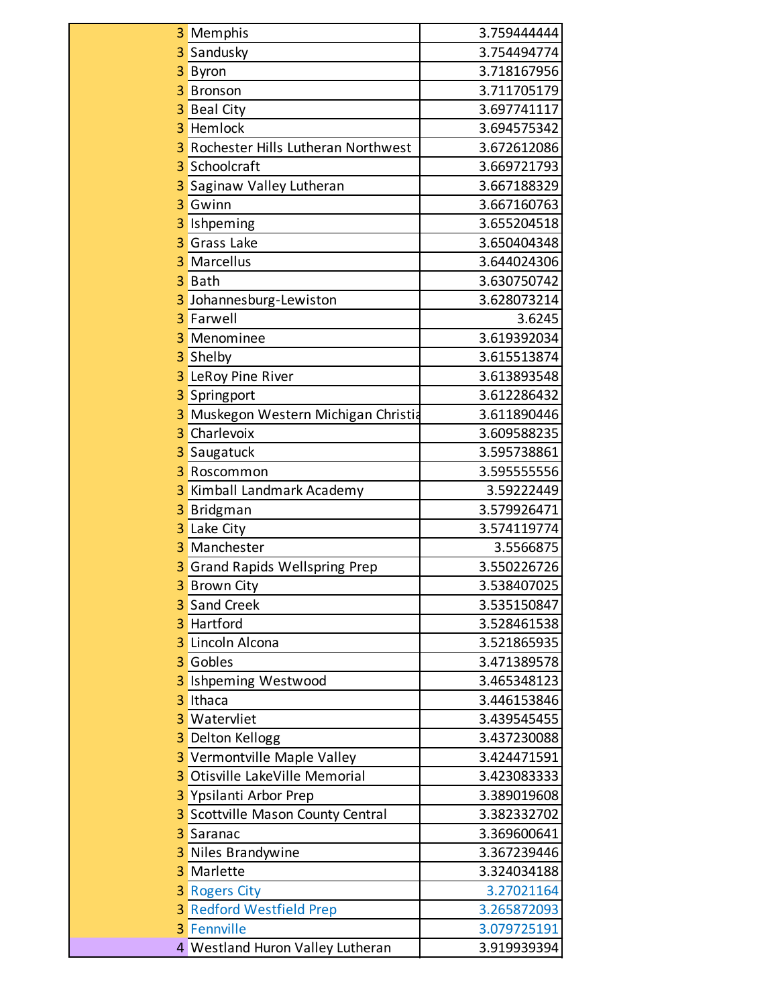| 3 | Memphis                             | 3.759444444 |
|---|-------------------------------------|-------------|
| 3 | Sandusky                            | 3.754494774 |
| 3 | Byron                               | 3.718167956 |
| 3 | <b>Bronson</b>                      | 3.711705179 |
| 3 | <b>Beal City</b>                    | 3.697741117 |
| 3 | Hemlock                             | 3.694575342 |
| 3 | Rochester Hills Lutheran Northwest  | 3.672612086 |
| 3 | Schoolcraft                         | 3.669721793 |
| 3 | Saginaw Valley Lutheran             | 3.667188329 |
| 3 | Gwinn                               | 3.667160763 |
| 3 | Ishpeming                           | 3.655204518 |
| 3 | <b>Grass Lake</b>                   | 3.650404348 |
| 3 | Marcellus                           | 3.644024306 |
| 3 | Bath                                | 3.630750742 |
| 3 | Johannesburg-Lewiston               | 3.628073214 |
| 3 | Farwell                             | 3.6245      |
| 3 | Menominee                           | 3.619392034 |
| 3 | Shelby                              | 3.615513874 |
| 3 | LeRoy Pine River                    | 3.613893548 |
| 3 | Springport                          | 3.612286432 |
| 3 | Muskegon Western Michigan Christia  | 3.611890446 |
| 3 | Charlevoix                          | 3.609588235 |
| 3 | Saugatuck                           | 3.595738861 |
| 3 | Roscommon                           | 3.595555556 |
| 3 | Kimball Landmark Academy            | 3.59222449  |
| 3 | Bridgman                            | 3.579926471 |
| 3 | Lake City                           | 3.574119774 |
| 3 | Manchester                          | 3.5566875   |
| 3 | <b>Grand Rapids Wellspring Prep</b> | 3.550226726 |
| 3 | <b>Brown City</b>                   | 3.538407025 |
| 3 | <b>Sand Creek</b>                   | 3.535150847 |
| 3 | Hartford                            | 3.528461538 |
| 3 | Lincoln Alcona                      | 3.521865935 |
| 3 | Gobles                              | 3.471389578 |
| 3 | <b>Ishpeming Westwood</b>           | 3.465348123 |
| 3 | Ithaca                              | 3.446153846 |
| 3 | Watervliet                          | 3.439545455 |
| 3 | <b>Delton Kellogg</b>               | 3.437230088 |
| 3 | Vermontville Maple Valley           | 3.424471591 |
| 3 | Otisville LakeVille Memorial        | 3.423083333 |
| 3 | Ypsilanti Arbor Prep                | 3.389019608 |
| 3 | Scottville Mason County Central     | 3.382332702 |
| 3 | Saranac                             | 3.369600641 |
| 3 | Niles Brandywine                    | 3.367239446 |
| 3 | Marlette                            | 3.324034188 |
| 3 | <b>Rogers City</b>                  | 3.27021164  |
| 3 | <b>Redford Westfield Prep</b>       | 3.265872093 |
| 3 | Fennville                           | 3.079725191 |
|   | 4 Westland Huron Valley Lutheran    | 3.919939394 |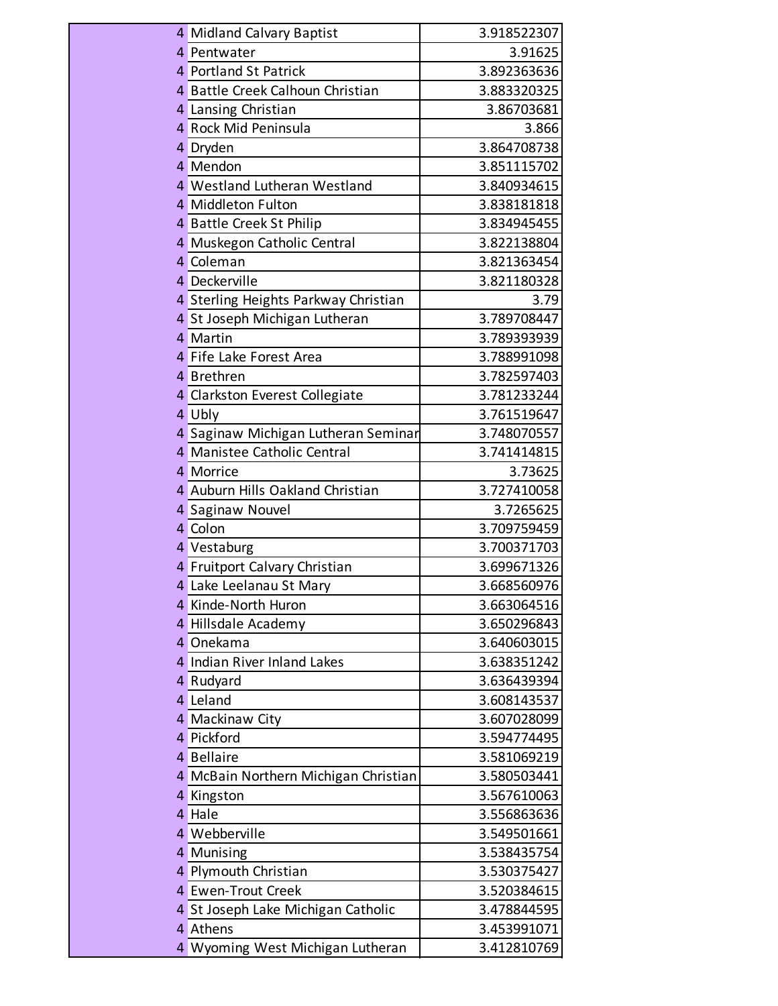|   | 4 Midland Calvary Baptist            | 3.918522307 |
|---|--------------------------------------|-------------|
|   | 4 Pentwater                          | 3.91625     |
|   | 4 Portland St Patrick                | 3.892363636 |
|   | 4 Battle Creek Calhoun Christian     | 3.883320325 |
|   | 4 Lansing Christian                  | 3.86703681  |
|   | 4 Rock Mid Peninsula                 | 3.866       |
|   | 4 Dryden                             | 3.864708738 |
|   | 4 Mendon                             | 3.851115702 |
|   | 4 Westland Lutheran Westland         | 3.840934615 |
|   | 4 Middleton Fulton                   | 3.838181818 |
|   | 4 Battle Creek St Philip             | 3.834945455 |
|   | 4 Muskegon Catholic Central          | 3.822138804 |
|   | 4 Coleman                            | 3.821363454 |
|   | 4 Deckerville                        | 3.821180328 |
|   | 4 Sterling Heights Parkway Christian | 3.79        |
|   | 4 St Joseph Michigan Lutheran        | 3.789708447 |
|   | 4 Martin                             | 3.789393939 |
|   | 4 Fife Lake Forest Area              | 3.788991098 |
|   | 4 Brethren                           | 3.782597403 |
|   | 4 Clarkston Everest Collegiate       | 3.781233244 |
|   | 4 Ubly                               | 3.761519647 |
|   | 4 Saginaw Michigan Lutheran Seminar  | 3.748070557 |
|   | 4 Manistee Catholic Central          | 3.741414815 |
|   | 4 Morrice                            | 3.73625     |
|   | 4 Auburn Hills Oakland Christian     | 3.727410058 |
|   | 4 Saginaw Nouvel                     | 3.7265625   |
|   | 4 Colon                              | 3.709759459 |
|   | 4 Vestaburg                          | 3.700371703 |
|   | 4 Fruitport Calvary Christian        | 3.699671326 |
|   | 4 Lake Leelanau St Mary              | 3.668560976 |
|   | 4 Kinde-North Huron                  | 3.663064516 |
|   | 4 Hillsdale Academy                  | 3.650296843 |
|   | 4 Onekama                            | 3.640603015 |
|   | 4 Indian River Inland Lakes          | 3.638351242 |
|   | 4 Rudyard                            | 3.636439394 |
|   | 4 Leland                             | 3.608143537 |
|   | 4 Mackinaw City                      | 3.607028099 |
|   | 4 Pickford                           | 3.594774495 |
|   | 4 Bellaire                           | 3.581069219 |
|   | 4 McBain Northern Michigan Christian | 3.580503441 |
|   | 4 Kingston                           | 3.567610063 |
| 4 | Hale                                 | 3.556863636 |
|   | 4 Webberville                        | 3.549501661 |
|   | 4 Munising                           | 3.538435754 |
|   | 4 Plymouth Christian                 | 3.530375427 |
|   | 4 Ewen-Trout Creek                   | 3.520384615 |
|   | 4 St Joseph Lake Michigan Catholic   | 3.478844595 |
|   | 4 Athens                             | 3.453991071 |
|   | 4 Wyoming West Michigan Lutheran     | 3.412810769 |